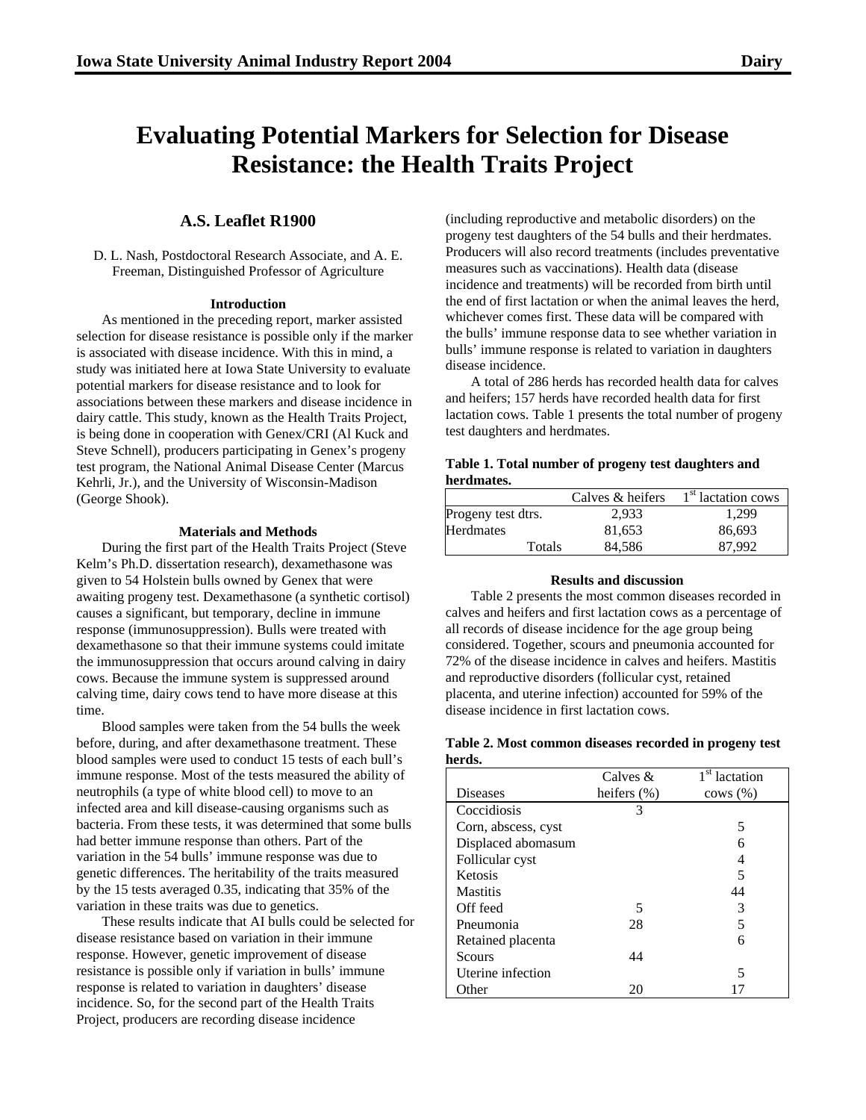# **Evaluating Potential Markers for Selection for Disease Resistance: the Health Traits Project**

# **A.S. Leaflet R1900**

D. L. Nash, Postdoctoral Research Associate, and A. E. Freeman, Distinguished Professor of Agriculture

### **Introduction**

As mentioned in the preceding report, marker assisted selection for disease resistance is possible only if the marker is associated with disease incidence. With this in mind, a study was initiated here at Iowa State University to evaluate potential markers for disease resistance and to look for associations between these markers and disease incidence in dairy cattle. This study, known as the Health Traits Project, is being done in cooperation with Genex/CRI (Al Kuck and Steve Schnell), producers participating in Genex's progeny test program, the National Animal Disease Center (Marcus Kehrli, Jr.), and the University of Wisconsin-Madison (George Shook).

#### **Materials and Methods**

During the first part of the Health Traits Project (Steve Kelm's Ph.D. dissertation research), dexamethasone was given to 54 Holstein bulls owned by Genex that were awaiting progeny test. Dexamethasone (a synthetic cortisol) causes a significant, but temporary, decline in immune response (immunosuppression). Bulls were treated with dexamethasone so that their immune systems could imitate the immunosuppression that occurs around calving in dairy cows. Because the immune system is suppressed around calving time, dairy cows tend to have more disease at this time.

Blood samples were taken from the 54 bulls the week before, during, and after dexamethasone treatment. These blood samples were used to conduct 15 tests of each bull's immune response. Most of the tests measured the ability of neutrophils (a type of white blood cell) to move to an infected area and kill disease-causing organisms such as bacteria. From these tests, it was determined that some bulls had better immune response than others. Part of the variation in the 54 bulls' immune response was due to genetic differences. The heritability of the traits measured by the 15 tests averaged 0.35, indicating that 35% of the variation in these traits was due to genetics.

These results indicate that AI bulls could be selected for disease resistance based on variation in their immune response. However, genetic improvement of disease resistance is possible only if variation in bulls' immune response is related to variation in daughters' disease incidence. So, for the second part of the Health Traits Project, producers are recording disease incidence

(including reproductive and metabolic disorders) on the progeny test daughters of the 54 bulls and their herdmates. Producers will also record treatments (includes preventative measures such as vaccinations). Health data (disease incidence and treatments) will be recorded from birth until the end of first lactation or when the animal leaves the herd, whichever comes first. These data will be compared with the bulls' immune response data to see whether variation in bulls' immune response is related to variation in daughters disease incidence.

A total of 286 herds has recorded health data for calves and heifers; 157 herds have recorded health data for first lactation cows. Table 1 presents the total number of progeny test daughters and herdmates.

## **Table 1. Total number of progeny test daughters and herdmates.**

|                    | Calves & heifers | $1st$ lactation cows |
|--------------------|------------------|----------------------|
| Progeny test dtrs. | 2.933            | 1.299                |
| Herdmates          | 81,653           | 86,693               |
| Totals             | 84,586           | 87.992               |

#### **Results and discussion**

Table 2 presents the most common diseases recorded in calves and heifers and first lactation cows as a percentage of all records of disease incidence for the age group being considered. Together, scours and pneumonia accounted for 72% of the disease incidence in calves and heifers. Mastitis and reproductive disorders (follicular cyst, retained placenta, and uterine infection) accounted for 59% of the disease incidence in first lactation cows.

# **Table 2. Most common diseases recorded in progeny test herds.**

|                     | Calves $\&$    | 1 <sup>st</sup> lactation |
|---------------------|----------------|---------------------------|
| <b>Diseases</b>     | heifers $(\%)$ | rows (%)                  |
| Coccidiosis         | 3              |                           |
| Corn, abscess, cyst |                | 5                         |
| Displaced abomasum  |                | 6                         |
| Follicular cyst     |                | 4                         |
| Ketosis             |                | 5                         |
| <b>Mastitis</b>     |                | 44                        |
| Off feed            | 5              | 3                         |
| Pneumonia           | 28             | 5                         |
| Retained placenta   |                | 6                         |
| <b>Scours</b>       | 44             |                           |
| Uterine infection   |                | 5                         |
| Other               | 20             |                           |